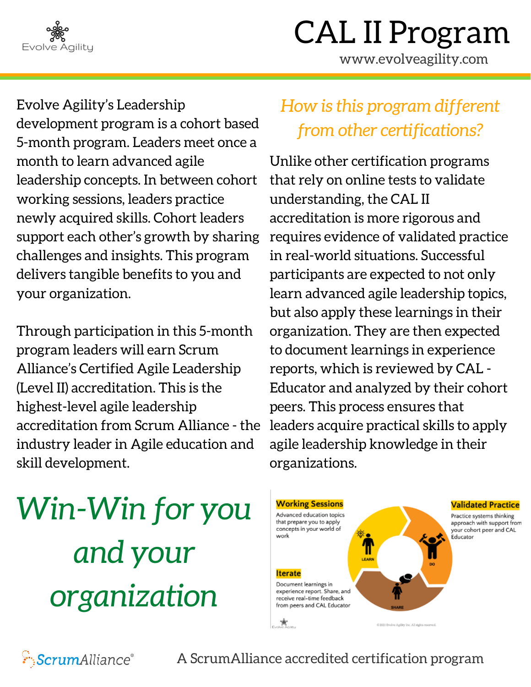

www.evolveagility.com

Evolve Agility's Leadership development program is a cohort based 5-month program. Leaders meet once a month to learn advanced agile leadership concepts. In between cohort working sessions, leaders practice newly acquired skills. Cohort leaders support each other's growth by sharing challenges and insights. This program delivers tangible benefits to you and your organization.

Through participation in this 5-month program leaders will earn Scrum Alliance's Certified Agile Leadership (Level II) accreditation. This is the highest-level agile leadership accreditation from Scrum Alliance - the industry leader in Agile education and skill development.

## *How is this program different from other certifications?*

Unlike other certification programs that rely on online tests to validate understanding, the CAL II accreditation is more rigorous and requires evidence of validated practice in real-world situations. Successful participants are expected to not only learn advanced agile leadership topics, but also apply these learnings in their organization. They are then expected to document learnings in experience reports, which is reviewed by CAL - Educator and analyzed by their cohort peers. This process ensures that leaders acquire practical skills to apply agile leadership knowledge in their organizations.

*Win-Win for you and your organization*



**ScrumAlliance**®

A ScrumAlliance accredited certification program